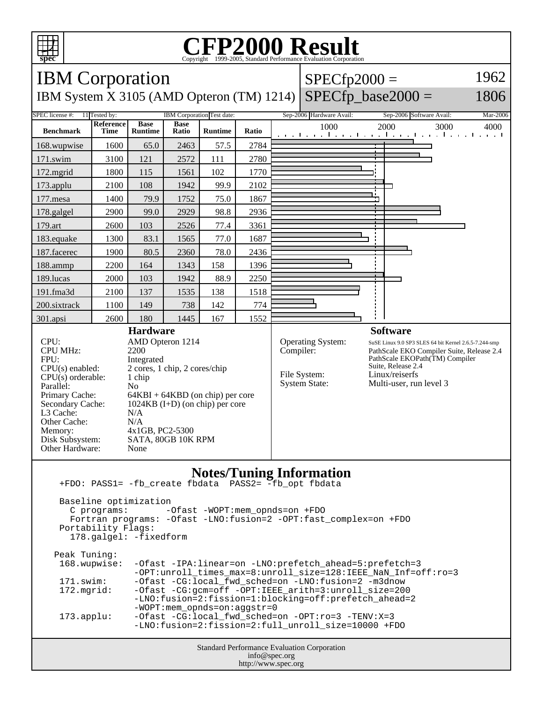

## **CFP2000 Result** Copyright ©1999-2005, Standard I



| Peak Tuninq:        |                                                                   |
|---------------------|-------------------------------------------------------------------|
| 168.wupwise:        | -Ofast -IPA:linear=on -LNO:prefetch ahead=5:prefetch=3            |
|                     | -OPT: unroll times max=8: unroll size=128: IEEE NaN Inf=off: ro=3 |
| 171.swim:           | -Ofast -CG:local_fwd_sched=on -LNO:fusion=2 -m3dnow               |
| 172.mqrid:          | -Ofast -CG:gcm=off -OPT:IEEE_arith=3:unroll_size=200              |
|                     | -LNO:fusion=2:fission=1:blocking=off:prefetch ahead=2             |
|                     | $-WOPT:mem\_opnds=on:aggstr=0$                                    |
| $173.\text{applu}:$ | $-Ofast$ -CG:local fwd sched=on -OPT:ro=3 -TENV:X=3               |
|                     | -LNO:fusion=2:fission=2:full unroll size=10000 +FDO               |

Standard Performance Evaluation Corporation info@spec.org http://www.spec.org